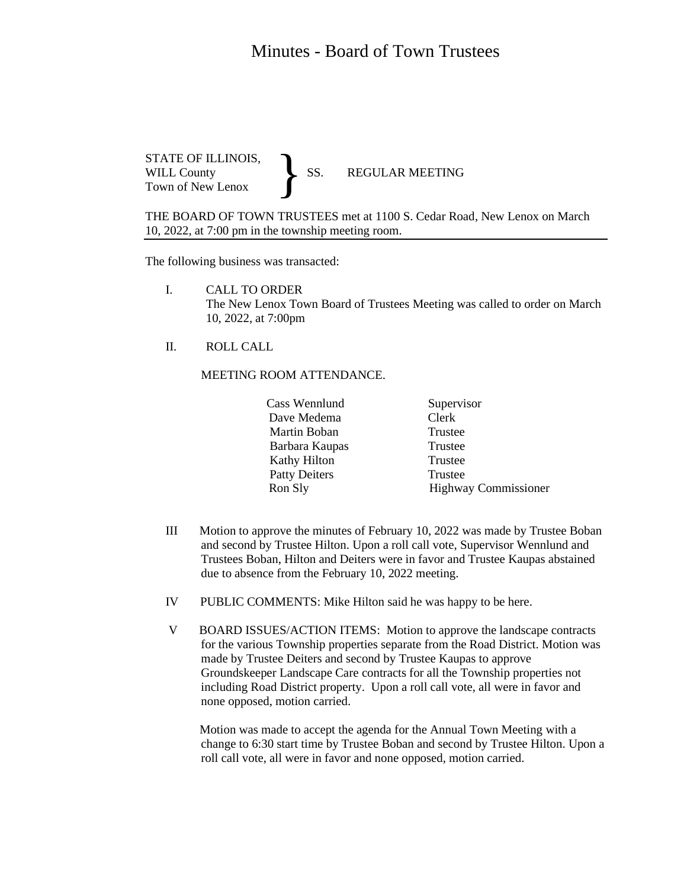## Minutes - Board of Town Trustees

STATE OF ILLINOIS,<br>WILL County SS. WILL County SS. REGULAR MEETING Town of New Lenox }

THE BOARD OF TOWN TRUSTEES met at 1100 S. Cedar Road, New Lenox on March 10, 2022, at 7:00 pm in the township meeting room.

The following business was transacted:

- I. CALL TO ORDER The New Lenox Town Board of Trustees Meeting was called to order on March 10, 2022, at 7:00pm
- II. ROLL CALL

## MEETING ROOM ATTENDANCE.

| Cass Wennlund        | Supervisor                  |
|----------------------|-----------------------------|
| Dave Medema          | Clerk                       |
| Martin Boban         | Trustee                     |
| Barbara Kaupas       | Trustee                     |
| Kathy Hilton         | Trustee                     |
| <b>Patty Deiters</b> | Trustee                     |
| Ron Sly              | <b>Highway Commissioner</b> |

- III Motion to approve the minutes of February 10, 2022 was made by Trustee Boban and second by Trustee Hilton. Upon a roll call vote, Supervisor Wennlund and Trustees Boban, Hilton and Deiters were in favor and Trustee Kaupas abstained due to absence from the February 10, 2022 meeting.
- IV PUBLIC COMMENTS: Mike Hilton said he was happy to be here.
- V BOARD ISSUES/ACTION ITEMS: Motion to approve the landscape contracts for the various Township properties separate from the Road District. Motion was made by Trustee Deiters and second by Trustee Kaupas to approve Groundskeeper Landscape Care contracts for all the Township properties not including Road District property. Upon a roll call vote, all were in favor and none opposed, motion carried.

 Motion was made to accept the agenda for the Annual Town Meeting with a change to 6:30 start time by Trustee Boban and second by Trustee Hilton. Upon a roll call vote, all were in favor and none opposed, motion carried.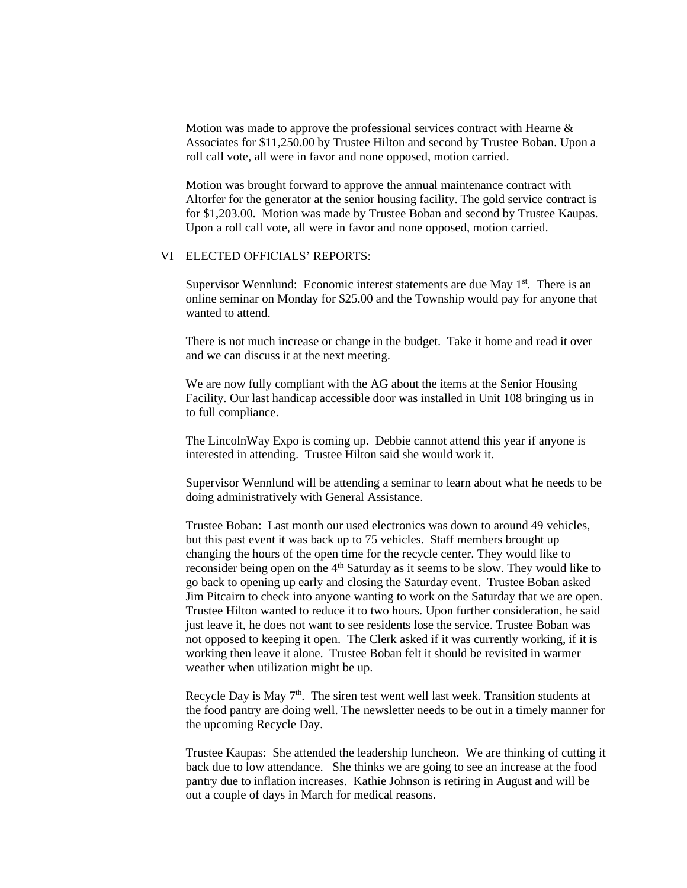Motion was made to approve the professional services contract with Hearne & Associates for \$11,250.00 by Trustee Hilton and second by Trustee Boban. Upon a roll call vote, all were in favor and none opposed, motion carried.

Motion was brought forward to approve the annual maintenance contract with Altorfer for the generator at the senior housing facility. The gold service contract is for \$1,203.00. Motion was made by Trustee Boban and second by Trustee Kaupas. Upon a roll call vote, all were in favor and none opposed, motion carried.

## VI ELECTED OFFICIALS' REPORTS:

Supervisor Wennlund: Economic interest statements are due May 1<sup>st</sup>. There is an online seminar on Monday for \$25.00 and the Township would pay for anyone that wanted to attend.

There is not much increase or change in the budget. Take it home and read it over and we can discuss it at the next meeting.

We are now fully compliant with the AG about the items at the Senior Housing Facility. Our last handicap accessible door was installed in Unit 108 bringing us in to full compliance.

The LincolnWay Expo is coming up. Debbie cannot attend this year if anyone is interested in attending. Trustee Hilton said she would work it.

Supervisor Wennlund will be attending a seminar to learn about what he needs to be doing administratively with General Assistance.

Trustee Boban: Last month our used electronics was down to around 49 vehicles, but this past event it was back up to 75 vehicles. Staff members brought up changing the hours of the open time for the recycle center. They would like to reconsider being open on the 4<sup>th</sup> Saturday as it seems to be slow. They would like to go back to opening up early and closing the Saturday event. Trustee Boban asked Jim Pitcairn to check into anyone wanting to work on the Saturday that we are open. Trustee Hilton wanted to reduce it to two hours. Upon further consideration, he said just leave it, he does not want to see residents lose the service. Trustee Boban was not opposed to keeping it open. The Clerk asked if it was currently working, if it is working then leave it alone. Trustee Boban felt it should be revisited in warmer weather when utilization might be up.

Recycle Day is May  $7<sup>th</sup>$ . The siren test went well last week. Transition students at the food pantry are doing well. The newsletter needs to be out in a timely manner for the upcoming Recycle Day.

Trustee Kaupas: She attended the leadership luncheon. We are thinking of cutting it back due to low attendance. She thinks we are going to see an increase at the food pantry due to inflation increases. Kathie Johnson is retiring in August and will be out a couple of days in March for medical reasons.